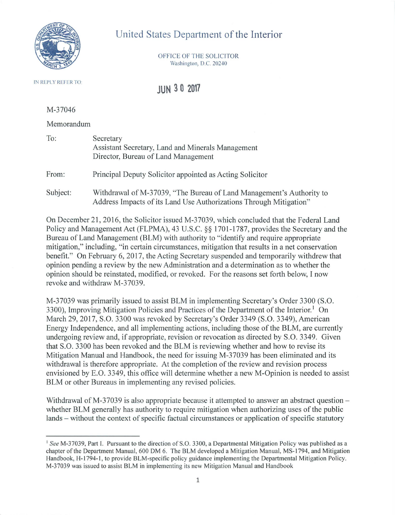

## United States Department of the Interior

OFFICE OF THE SOLICITOR Washington, D.C. 20240

IN REPLY REFER TO:

**JUN 3 O 2017** 

M-37046

Memorandum

| To:      | Secretary<br>Assistant Secretary, Land and Minerals Management<br>Director, Bureau of Land Management |
|----------|-------------------------------------------------------------------------------------------------------|
| From:    | Principal Deputy Solicitor appointed as Acting Solicitor                                              |
| Subject: | Withdrawal of M-37039, "The Bureau of Land Management                                                 |

Subject: t's Authority to Address Impacts of its Land Use Authorizations Through Mitigation"

On December 21, 2016, the Solicitor issued M-37039, which concluded that the Federal Land Policy and Management Act (FLPMA), 43 U.S.C. §§ 1701-1787, provides the Secretary and the Bureau of Land Management (BLM) with authority to "identify and require appropriate mitigation," including, "in certain circumstances, mitigation that results in a net conservation benefit." On February 6, 2017, the Acting Secretary suspended and temporarily withdrew that opinion pending a review by the new Administration and a detennination as to whether the opinion should be reinstated, modified, or revoked. For the reasons set forth below, I now revoke and withdraw M-37039.

M-37039 was primarily issued to assist BLM in implementing Secretary's Order 3300 (S.O. 3300), Improving Mitigation Policies and Practices of the Department of the Interior.<sup>1</sup> On March 29, 2017, S.O. 3300 was revoked by Secretary's Order 3349 (S.O. 3349), American Energy Independence, and all implementing actions, including those of the BLM, are currently undergoing review and, if appropriate, revision or revocation as directed by S.O. 3349. Given that S.O. 3300 has been revoked and the BLM is reviewing whether and how to revise its Mitigation Manual and Handbook, the need for issuing M-37039 has been eliminated and its withdrawal is therefore appropriate. At the completion of the review and revision process envisioned by E.O. 3349, this office will determine whether a new M-Opinion is needed to assist BLM or other Bureaus in implementing any revised policies.

Withdrawal of M-37039 is also appropriate because it attempted to answer an abstract question – whether BLM generally has authority to require mitigation when authorizing uses of the public lands – without the context of specific factual circumstances or application of specific statutory

<sup>&</sup>lt;sup>1</sup> See M-37039, Part I. Pursuant to the direction of S.O. 3300, a Departmental Mitigation Policy was published as a chapter of the Department Manual, 600 OM 6. The BLM developed a Mitigation Manual, MS-1794, and Mitigation Handbook, H-1794-1 , to provide SLM-specific policy guidance implementing the Departmental Mitigation Policy. M-37039 was issued to assist BLM in implementing its new Mitigation Manual and Handbook